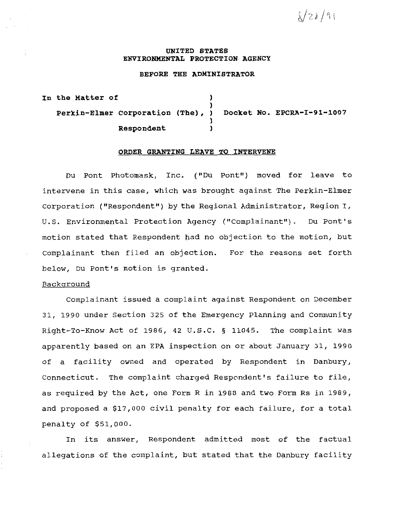$\sqrt{28}/91$ 

#### **UNITED STATES ENVIRONMENTAL PROTECTION AGENCY**

#### **BEFORE THE ADMINISTRATOR**

**In the Matter of** ) ) **Perkin-Elmer Corporation (The), ) Docket No. EPCRA-I-91-1007**  ) **Respondent** )

# **ORDER GRANTING LEAVE TO INTERVENE**

Du Pont Photomask, Inc. ("Du Pont"} moved for leave to intervene in this case, which was brought against The Perkin-Elmer Corporation ("Respondent") by the Regional Administrator, Region I, U.S. Environmental Protection Agency ("Complainant"). Du Pont's motion stated that Respondent had no objection to the motion, but Complainant then filed an objection. For the reasons set forth below, Du Pont's motion is granted.

### Background

Complainant issued a complaint against Respondent on December 31, 1990 under Section 325 of the Emergency Planning and Community Right-To-Know Act of 1986, 42 u.s.c. § 11045. The complaint was apparently based on an EPA inspection on or about January 31, 1990 of a facility owned and operated by Respondent in Danbury, Connecticut. The complaint charged Respondent's failure to file, as required by the Act, one Form R in 1988 and two Form Rs in 1989, and proposed a \$17,000 civil penalty for each failure, for a total penalty of \$51,000.

In its answer, Respondent admitted most of the factual allegations of the complaint, but stated that the Danbury facility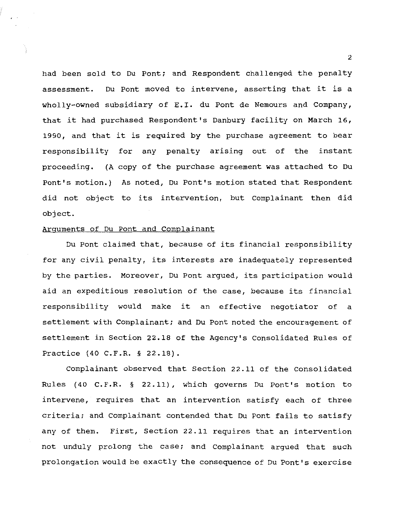had been sold to Du Pont; and Respondent challenged the penalty assessment. Du Pont moved to intervene, asserting that it is a wholly-owned subsidiary of E.I. du Pont de Nemours and company, that it had purchased Respondent's Danbury facility on March 16, 1990, and that it is required by the purchase agreement to bear responsibility for any penalty arising out of the instant proceeding. (A copy of the purchase agreement was attached to Du Pont's motion.) As noted, Du Pont's motion stated that Respondent did not object to its intervention, but Complainant then did object.

#### Arguments of Du Pont and Complainant

Du Pont claimed that, because of its financial responsibility for any civil penalty, its interests are inadequately represented by the parties. Moreover, Du Pont argued, its participation would aid an expeditious resolution of the case, because its financial responsibility would make it an effective negotiator of a settlement with Complainant; and Du Pont noted the encouragement of settlement in Section 22.18 of the Agency's Consolidated Rules of Practice (40 C.F.R. § 22.18).

Complainant observed that section 22.11 of the Consolidated Rules (40 C.F.R. § 22.11), which governs Du Pont's motion to intervene, requires that an intervention satisfy each of three criteria; and Complainant contended that Du Pont fails to satisfy any of them. First, Section 22.11 requires that an intervention not unduly prolong the case; and Complainant argued that such prolongation would be exactly the consequence of Du Pont's exercise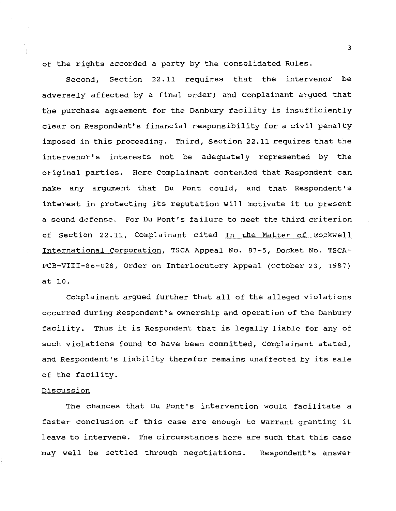of the rights accorded a party by the Consolidated Rules.

Second, Section 22.11 requires that the intervenor be adversely affected by a final order; and Complainant argued that the purchase agreement for the Danbury facility is insufficiently clear on Respondent's financial responsibility for a civil penalty imposed in this proceeding. Third, Section 22.11 requires that the intervenor's interests not be adequately represented by the original parties. Here Complainant contended that Respondent can make any argument that Du Pont could, and that Respondent's interest in protecting its reputation will motivate it to present a sound defense. For Du Pont's failure to meet the third criterion of Section 22.11, Complainant cited In the Matter of Rockwell International Corporation, TSCA Appeal No. 87-5, Docket No. TSCA-PCB-VIII-86-028, Order on Interlocutory Appeal (October 23, 1987) at 10.

complainant argued further that all of the alleged violations occurred during Respondent's ownership and operation of the Danbury facility. Thus it is Respondent that is legally liable for any of such violations found to have been committed, Complainant stated, and Respondent's liability therefor remains unaffected by its sale of the facility.

# Discussion

The chances that Du Pont's intervention would facilitate a faster conclusion of this case are enough to warrant granting it leave to intervene. The circumstances here are such that this case may well be settled through negotiations. Respondent's answer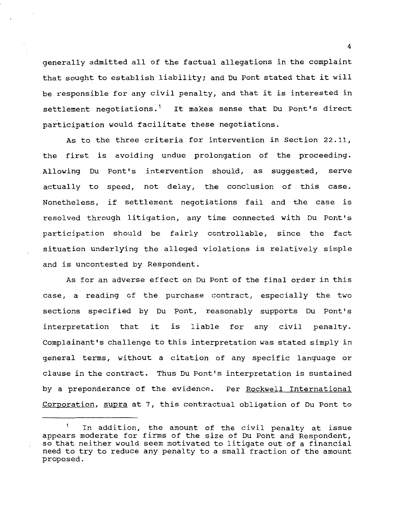generally admitted all of the factual allegations in the complaint that sought to establish liability; and Du Pont stated that it will be responsible for any civil penalty, and that it is interested in settlement negotiations.<sup>1</sup> It makes sense that Du Pont's direct participation would facilitate these negotiations.

As to the three criteria for intervention in Section 22.11, the first is avoiding undue prolongation of the proceeding. Allowing Du Pont's intervention should, as suggested, serve actually to speed, not delay, the conclusion of this case. Nonetheless, if settlement negotiations fail and the case is resolved through litigation, any time connected with Du Pont's participation should be fairly controllable, since the fact situation underlying the alleged violations is relatively simple and is uncontested by Respondent.

As for an adverse effect on Du Pont of the final order in this case, a reading of the purchase contract, especially the two sections specified by Du Pont, reasonably supports Du Pont's interpretation that it is liable for any civil penalty. Complainant's challenge to this interpretation was stated simply in general terms, without a citation of any specific language or clause in the contract. Thus Du Pont's interpretation is sustained by a preponderance of the evidence. Per Rockwell International Corporation, supra at 7, this contractual obligation of Du Pont to

<sup>1</sup> In addition, the amount of the civil penalty at issue appears moderate for firms of the size of Du Pont and Respondent, so that neither would seem motivated to litigate out of a financial need to try to reduce any penalty to a small fraction of the amount proposed.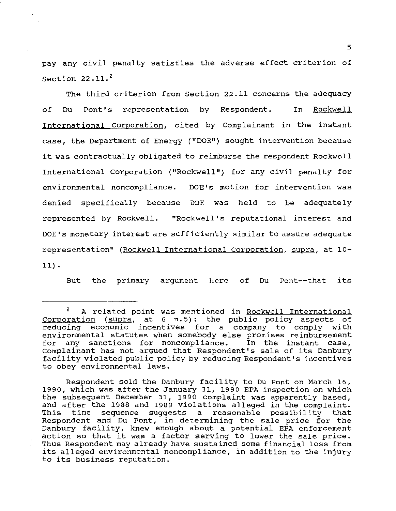pay any civil penalty satisfies the adverse effect criterion of Section  $22.11.<sup>2</sup>$ 

The third criterion from Section 22.11 concerns the adequacy of Du Pont's representation by Respondent. In Rockwell International Corporation, cited by Complainant in the instant case, the Department of Energy ("DOE") sought intervention because it was contractually obligated to reimburse the respondent Rockwell International Corporation ("Rockwell") for any civil penalty for environmental noncompliance. DOE's motion for intervention was denied specifically because DOE was held to be adequately represented by Rockwell. "Rockwell's reputational interest and DOE's monetary interest are sufficiently similar to assure adequate representation" (Rockwell International Corporation, supra, at 10- 11) .

But the primary argument here of Du Pont--that its

Respondent sold the Danbury facility to Du Pont on March 16, 1990, which was after the January 31, 1990 EPA inspection on which the subsequent December 31, 1990 complaint was apparently based, and after the 1988 and 1989 violations alleged in the complaint. This time sequence suggests a reasonable possibility that Respondent and Du Pont, in determining the sale price for the Danbury facility, knew enough about a potential EPA enforcement action so that it was a factor serving to lower the sale price. Thus Respondent may already have sustained some financial loss from its alleged environmental noncompliance, in addition to the injury to its business reputation.

<sup>2</sup> A related point was mentioned in Rockwell International Corporation (supra, at 6 n. 5): the public policy aspects of reducing economic incentives for a company to comply with environmental statutes when somebody else promises reimbursement<br>for any sanctions for noncompliance. In the instant case, any sanctions for noncompliance. Complainant has not argued that Respondent's sale of its Danbury facility violated public policy by reducing Respondent's incentives to obey environmental laws.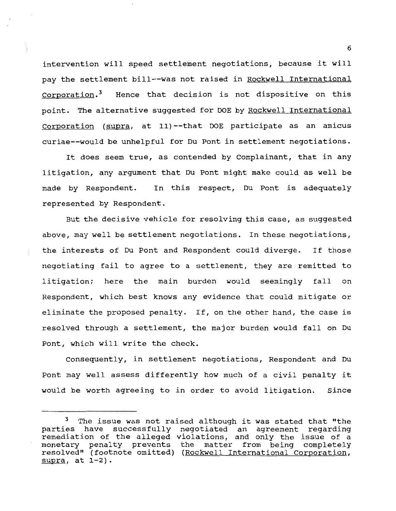intervention will speed settlement negotiations, because it will pay the settlement bill--was not raised in Rockwell International Corporation.<sup>3</sup> Hence that decision is not dispositive on this point. The alternative suggested for DOE by Rockwell International Corporation (supra, at 11) --that DOE participate as an amicus curiae--would be unhelpful for Du Pont in settlement negotiations.

It does seem true, as contended by Complainant, that in any litigation, any argument that Du Pont might make could as well be made by Respondent. In this respect, Du Pont is adequately represented by Respondent.

But the decisive vehicle for resolving this case, as suggested above, may well be settlement negotiations. In these negotiations, the interests of Du Pont and Respondent could diverge. If those negotiating fail to agree to a settlement, they are remitted to litigation; here the main burden would seemingly fall on Respondent, which best knows any evidence that could mitigate or eliminate the proposed penalty. If, on the other hand, the case is resolved through a settlement, the major burden would fall on Du Pont, which will write the check.

Consequently, in settlement negotiations, Respondent and Du Pont may well assess differently how much of a civil penalty it would be worth agreeing to in order to avoid litigation. Since

<sup>&</sup>lt;sup>3</sup> The issue was not raised although it was stated that "the parties have successfully negotiated an agreement regarding remediation of the alleged violations, and only the issue of a monetary penalty prevents the matter from being completely resolved" (footnote omitted) (Rockwell International Corporation, supra, at  $1-2$ ).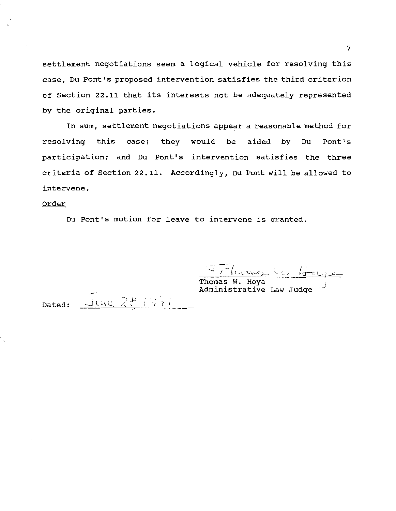settlement negotiations seem a logical vehicle for resolving this case, Du Pont's proposed intervention satisfies the third criterion of Section 22.11 that its interests not be adequately represented by the original parties.

In sum, settlement negotiations appear a reasonable method for resolving this case; they would be aided by Du Pont's participation; and Du Pont's intervention satisfies the three criteria of Section *22* .11. Accordingly, Du Pont will be allowed to intervene.

# Order

Du Pont's motion for leave to intervene is granted.

 $\frac{1}{2}$ .  $\sim$  / Thoms<sub>1</sub>

Thomas w. Hoya Administrative Law Judge

Dated:

 $J\omega u$